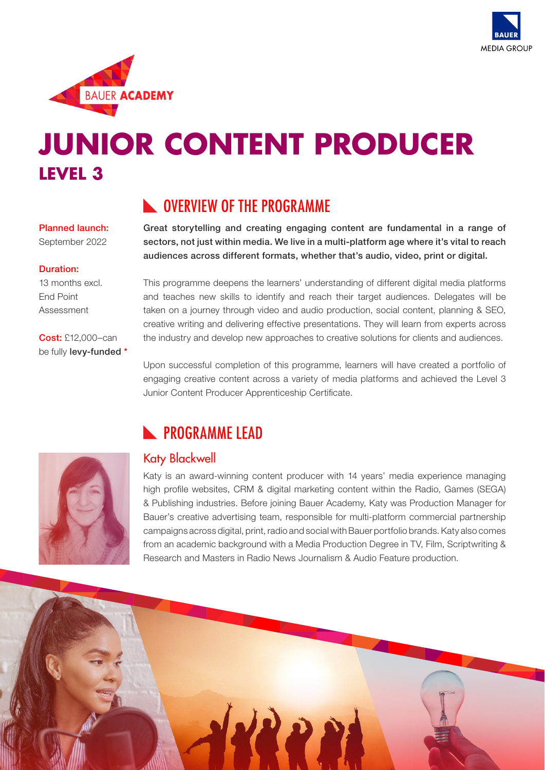



# **JUNIOR CONTENT PRODUCER LEVEL 3**

#### Planned launch:

September 2022

#### Duration:

13 months excl. End Point Assessment

Cost: £12,000–can be fully **levy-funded** \*

#### **NOVERVIEW OF THE PROGRAMME**

Great storytelling and creating engaging content are fundamental in a range of sectors, not just within media. We live in a multi-platform age where it's vital to reach audiences across different formats, whether that's audio, video, print or digital.

This programme deepens the learners' understanding of different digital media platforms and teaches new skills to identify and reach their target audiences. Delegates will be taken on a journey through video and audio production, social content, planning & SEO, creative writing and delivering effective presentations. They will learn from experts across the industry and develop new approaches to creative solutions for clients and audiences.

Upon successful completion of this programme, learners will have created a portfolio of engaging creative content across a variety of media platforms and achieved the Level 3 Junior Content Producer Apprenticeship Certificate.



## **N** PROGRAMME LEAD

#### Katy Blackwell

Katy is an award-winning content producer with 14 years' media experience managing high profile websites, CRM & digital marketing content within the Radio, Games (SEGA) & Publishing industries. Before joining Bauer Academy, Katy was Production Manager for Bauer's creative advertising team, responsible for multi-platform commercial partnership campaigns across digital, print, radio and social with Bauer portfolio brands. Katy also comes from an academic background with a Media Production Degree in TV, Film, Scriptwriting & Research and Masters in Radio News Journalism & Audio Feature production.